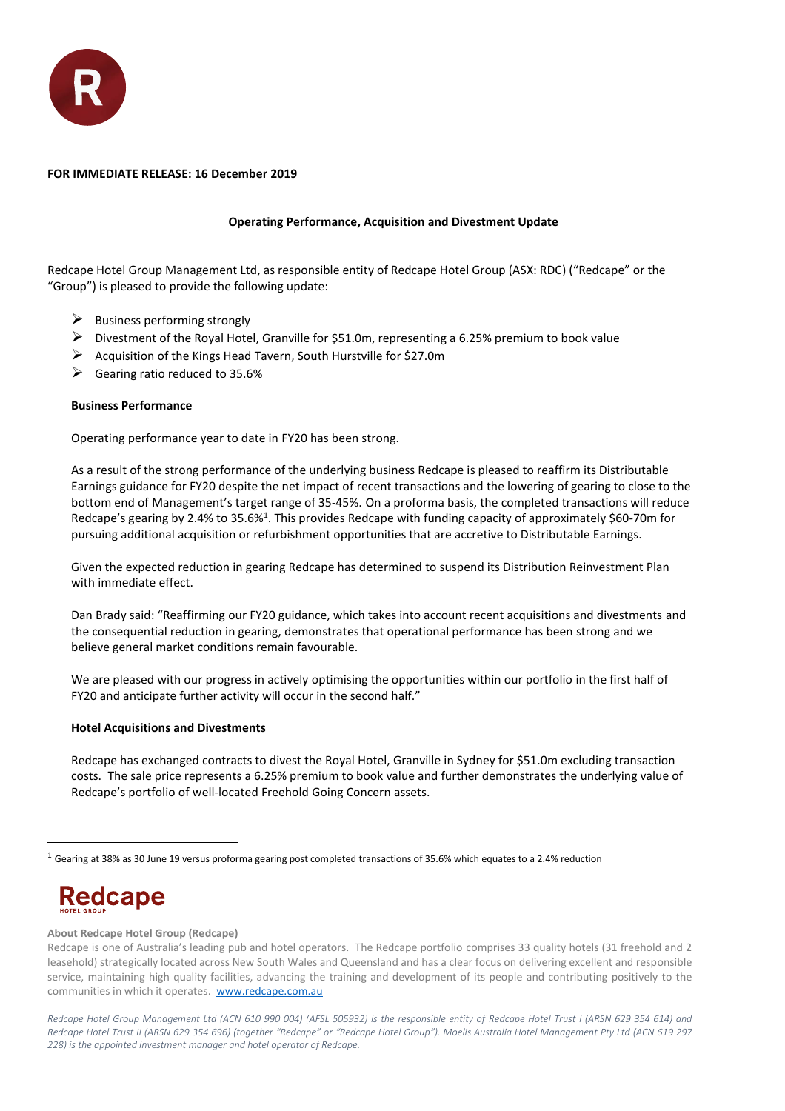

## **FOR IMMEDIATE RELEASE: 16 December 2019**

# **Operating Performance, Acquisition and Divestment Update**

Redcape Hotel Group Management Ltd, as responsible entity of Redcape Hotel Group (ASX: RDC) ("Redcape" or the "Group") is pleased to provide the following update:

- $\triangleright$  Business performing strongly
- ➢ Divestment of the Royal Hotel, Granville for \$51.0m, representing a 6.25% premium to book value
- ➢ Acquisition of the Kings Head Tavern, South Hurstville for \$27.0m
- $\triangleright$  Gearing ratio reduced to 35.6%

### **Business Performance**

Operating performance year to date in FY20 has been strong.

As a result of the strong performance of the underlying business Redcape is pleased to reaffirm its Distributable Earnings guidance for FY20 despite the net impact of recent transactions and the lowering of gearing to close to the bottom end of Management's target range of 35-45%. On a proforma basis, the completed transactions will reduce Redcape's gearing by 2.4% to 35.6%<sup>1</sup>. This provides Redcape with funding capacity of approximately \$60-70m for pursuing additional acquisition or refurbishment opportunities that are accretive to Distributable Earnings.

Given the expected reduction in gearing Redcape has determined to suspend its Distribution Reinvestment Plan with immediate effect.

Dan Brady said: "Reaffirming our FY20 guidance, which takes into account recent acquisitions and divestments and the consequential reduction in gearing, demonstrates that operational performance has been strong and we believe general market conditions remain favourable.

We are pleased with our progress in actively optimising the opportunities within our portfolio in the first half of FY20 and anticipate further activity will occur in the second half."

#### **Hotel Acquisitions and Divestments**

Redcape has exchanged contracts to divest the Royal Hotel, Granville in Sydney for \$51.0m excluding transaction costs. The sale price represents a 6.25% premium to book value and further demonstrates the underlying value of Redcape's portfolio of well-located Freehold Going Concern assets.

# **Redcape**

 $\overline{a}$ 

#### **About Redcape Hotel Group (Redcape)**

 $1$  Gearing at 38% as 30 June 19 versus proforma gearing post completed transactions of 35.6% which equates to a 2.4% reduction

Redcape is one of Australia's leading pub and hotel operators. The Redcape portfolio comprises 33 quality hotels (31 freehold and 2 leasehold) strategically located across New South Wales and Queensland and has a clear focus on delivering excellent and responsible service, maintaining high quality facilities, advancing the training and development of its people and contributing positively to the communities in which it operates. [www.redcape.com.au](http://www.redcape.com.au/)